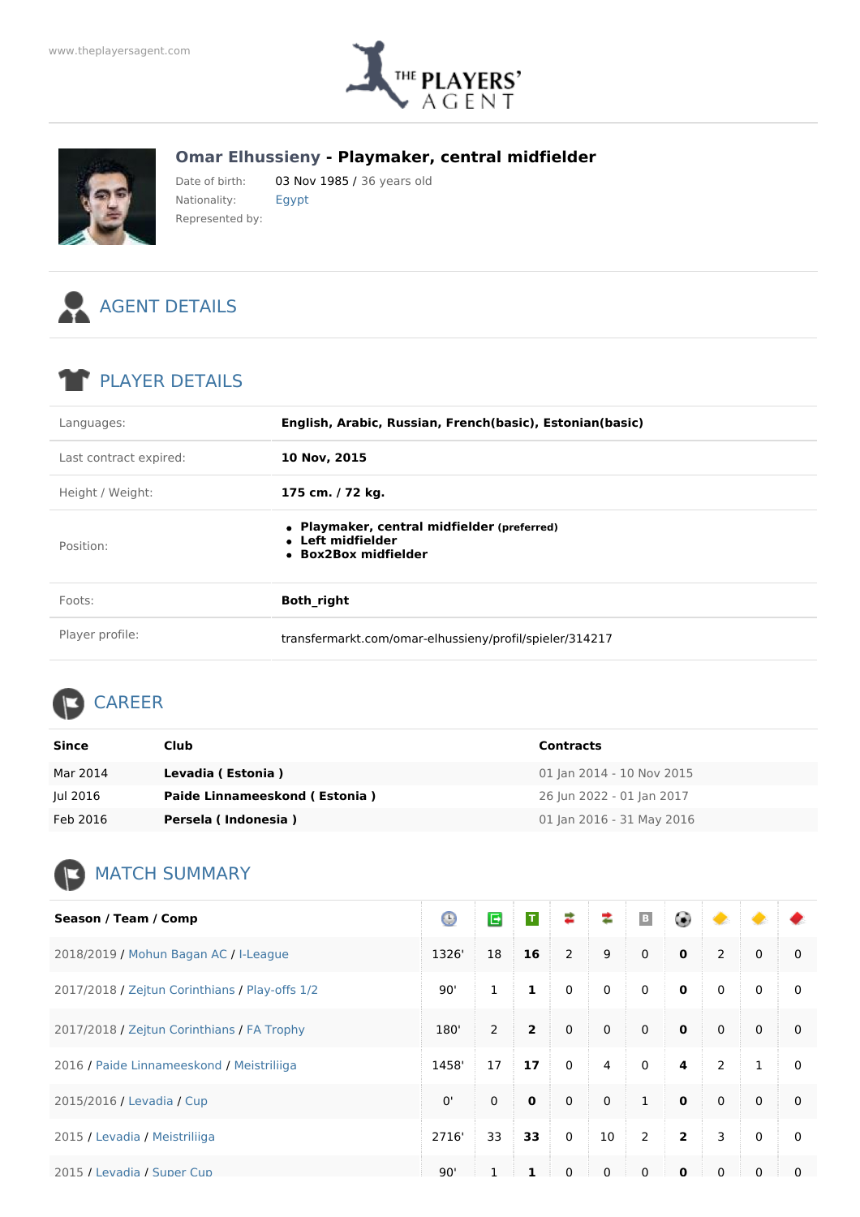

## **Omar Elhussieny - Playmaker, central midfielder**



Date of birth: 03 Nov 1985 / 36 years old Nationality: Egypt Represented by:



## PLAYER DETAILS

| Languages:             | English, Arabic, Russian, French(basic), Estonian(basic)                                 |
|------------------------|------------------------------------------------------------------------------------------|
| Last contract expired: | 10 Nov, 2015                                                                             |
| Height / Weight:       | 175 cm. / 72 kg.                                                                         |
| Position:              | • Playmaker, central midfielder (preferred)<br>• Left midfielder<br>• Box2Box midfielder |
| Foots:                 | <b>Both right</b>                                                                        |
| Player profile:        | transfermarkt.com/omar-elhussieny/profil/spieler/314217                                  |

## CAREER

| Since    | Club                          | <b>Contracts</b>          |
|----------|-------------------------------|---------------------------|
| Mar 2014 | Levadia (Estonia)             | 01 Jan 2014 - 10 Nov 2015 |
| Jul 2016 | Paide Linnameeskond (Estonia) | 26 Jun 2022 - 01 Jan 2017 |
| Feb 2016 | Persela (Indonesia)           | 01 Jan 2016 - 31 May 2016 |

## **MATCH SUMMARY**

| Season / Team / Comp                           | Θ     | G        | $\mathsf T$    | ≉              | ≉              | $\mid$ B     | ۳              | ◆              |              |              |
|------------------------------------------------|-------|----------|----------------|----------------|----------------|--------------|----------------|----------------|--------------|--------------|
| 2018/2019 / Mohun Bagan AC / I-League          | 1326' | 18       | 16             | $\overline{2}$ | 9              | $\mathbf 0$  | $\mathbf 0$    | $\overline{2}$ | $\mathbf 0$  | $\Omega$     |
| 2017/2018 / Zeitun Corinthians / Play-offs 1/2 | 90'   | 1        | 1              | $\mathbf 0$    | $\mathbf 0$    | $\mathbf 0$  | $\mathbf 0$    | $\mathbf 0$    | $\mathbf{0}$ | $\mathbf{0}$ |
| 2017/2018 / Zejtun Corinthians / FA Trophy     | 180'  | 2        | $\overline{2}$ | $\Omega$       | $\mathbf{0}$   | $\mathbf{0}$ | $\mathbf{0}$   | $\Omega$       | $\Omega$     | $\Omega$     |
| 2016 / Paide Linnameeskond / Meistriliiga      | 1458' | 17       | 17             | $\mathbf{0}$   | $\overline{4}$ | $\mathbf 0$  | 4              | $\overline{2}$ | $\mathbf{1}$ | $\mathbf{0}$ |
| 2015/2016 / Levadia / Cup                      | 0'    | $\Omega$ | $\mathbf 0$    | $\mathbf{0}$   | $\Omega$       | $\mathbf{1}$ | $\mathbf{0}$   | $\Omega$       | $\mathbf{0}$ | $\Omega$     |
| 2015 / Levadia / Meistriliiga                  | 2716' | 33       | 33             | $\mathbf{0}$   | 10             | 2            | $\overline{2}$ | 3              | $\Omega$     | $\mathbf{0}$ |
| 2015 / Levadia / Super Cup                     | 90'   |          | 1              | $\Omega$       | $\Omega$       | $\Omega$     | $\Omega$       | $\Omega$       | $\Omega$     | $\Omega$     |